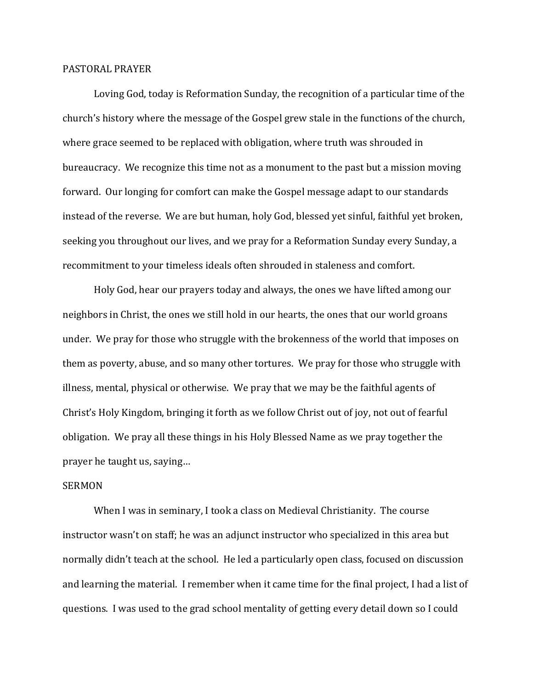## PASTORAL PRAYER

Loving God, today is Reformation Sunday, the recognition of a particular time of the church's history where the message of the Gospel grew stale in the functions of the church, where grace seemed to be replaced with obligation, where truth was shrouded in bureaucracy. We recognize this time not as a monument to the past but a mission moving forward. Our longing for comfort can make the Gospel message adapt to our standards instead of the reverse. We are but human, holy God, blessed yet sinful, faithful yet broken, seeking you throughout our lives, and we pray for a Reformation Sunday every Sunday, a recommitment to your timeless ideals often shrouded in staleness and comfort.

Holy God, hear our prayers today and always, the ones we have lifted among our neighbors in Christ, the ones we still hold in our hearts, the ones that our world groans under. We pray for those who struggle with the brokenness of the world that imposes on them as poverty, abuse, and so many other tortures. We pray for those who struggle with illness, mental, physical or otherwise. We pray that we may be the faithful agents of Christ's Holy Kingdom, bringing it forth as we follow Christ out of joy, not out of fearful obligation. We pray all these things in his Holy Blessed Name as we pray together the prayer he taught us, saying…

## **SERMON**

When I was in seminary, I took a class on Medieval Christianity. The course instructor wasn't on staff; he was an adjunct instructor who specialized in this area but normally didn't teach at the school. He led a particularly open class, focused on discussion and learning the material. I remember when it came time for the final project, I had a list of questions. I was used to the grad school mentality of getting every detail down so I could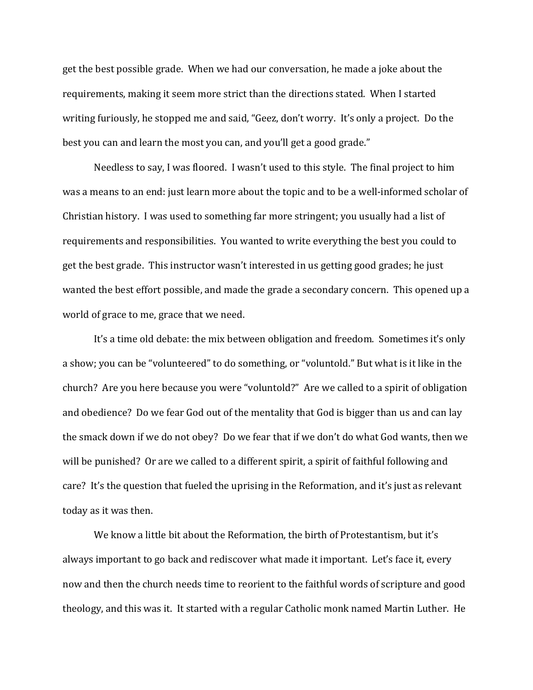get the best possible grade. When we had our conversation, he made a joke about the requirements, making it seem more strict than the directions stated. When I started writing furiously, he stopped me and said, "Geez, don't worry. It's only a project. Do the best you can and learn the most you can, and you'll get a good grade."

Needless to say, I was floored. I wasn't used to this style. The final project to him was a means to an end: just learn more about the topic and to be a well-informed scholar of Christian history. I was used to something far more stringent; you usually had a list of requirements and responsibilities. You wanted to write everything the best you could to get the best grade. This instructor wasn't interested in us getting good grades; he just wanted the best effort possible, and made the grade a secondary concern. This opened up a world of grace to me, grace that we need.

It's a time old debate: the mix between obligation and freedom. Sometimes it's only a show; you can be "volunteered" to do something, or "voluntold." But what is it like in the church? Are you here because you were "voluntold?" Are we called to a spirit of obligation and obedience? Do we fear God out of the mentality that God is bigger than us and can lay the smack down if we do not obey? Do we fear that if we don't do what God wants, then we will be punished? Or are we called to a different spirit, a spirit of faithful following and care? It's the question that fueled the uprising in the Reformation, and it's just as relevant today as it was then.

We know a little bit about the Reformation, the birth of Protestantism, but it's always important to go back and rediscover what made it important. Let's face it, every now and then the church needs time to reorient to the faithful words of scripture and good theology, and this was it. It started with a regular Catholic monk named Martin Luther. He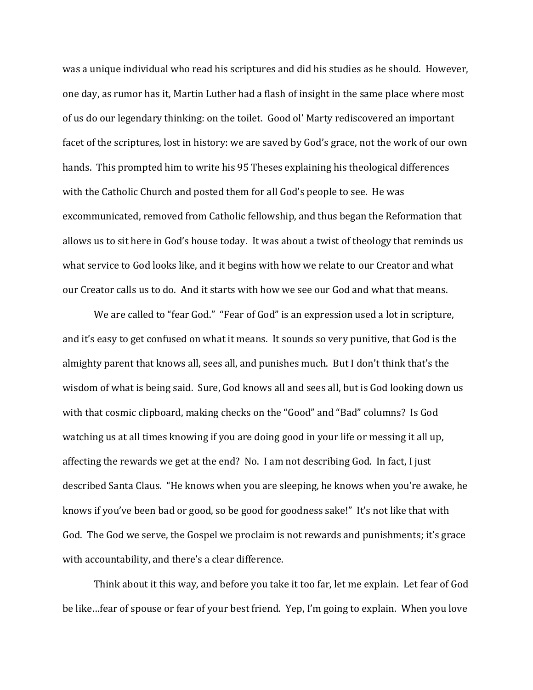was a unique individual who read his scriptures and did his studies as he should. However, one day, as rumor has it, Martin Luther had a flash of insight in the same place where most of us do our legendary thinking: on the toilet. Good ol' Marty rediscovered an important facet of the scriptures, lost in history: we are saved by God's grace, not the work of our own hands. This prompted him to write his 95 Theses explaining his theological differences with the Catholic Church and posted them for all God's people to see. He was excommunicated, removed from Catholic fellowship, and thus began the Reformation that allows us to sit here in God's house today. It was about a twist of theology that reminds us what service to God looks like, and it begins with how we relate to our Creator and what our Creator calls us to do. And it starts with how we see our God and what that means.

We are called to "fear God." "Fear of God" is an expression used a lot in scripture, and it's easy to get confused on what it means. It sounds so very punitive, that God is the almighty parent that knows all, sees all, and punishes much. But I don't think that's the wisdom of what is being said. Sure, God knows all and sees all, but is God looking down us with that cosmic clipboard, making checks on the "Good" and "Bad" columns? Is God watching us at all times knowing if you are doing good in your life or messing it all up, affecting the rewards we get at the end? No. I am not describing God. In fact, I just described Santa Claus. "He knows when you are sleeping, he knows when you're awake, he knows if you've been bad or good, so be good for goodness sake!" It's not like that with God. The God we serve, the Gospel we proclaim is not rewards and punishments; it's grace with accountability, and there's a clear difference.

Think about it this way, and before you take it too far, let me explain. Let fear of God be like…fear of spouse or fear of your best friend. Yep, I'm going to explain. When you love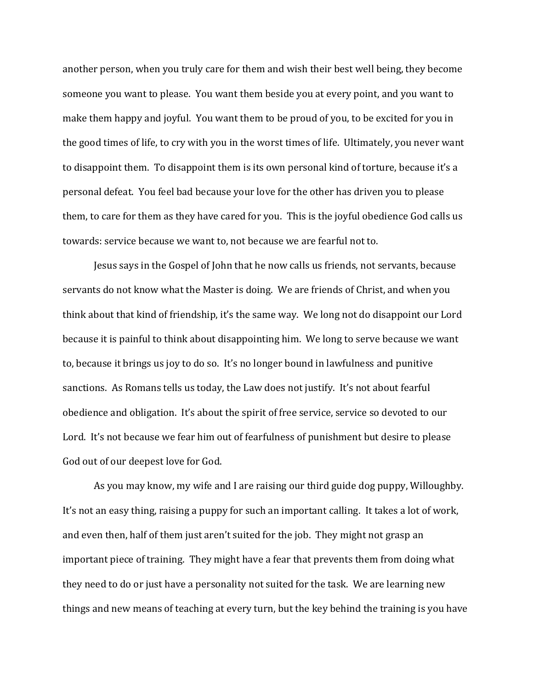another person, when you truly care for them and wish their best well being, they become someone you want to please. You want them beside you at every point, and you want to make them happy and joyful. You want them to be proud of you, to be excited for you in the good times of life, to cry with you in the worst times of life. Ultimately, you never want to disappoint them. To disappoint them is its own personal kind of torture, because it's a personal defeat. You feel bad because your love for the other has driven you to please them, to care for them as they have cared for you. This is the joyful obedience God calls us towards: service because we want to, not because we are fearful not to.

Jesus says in the Gospel of John that he now calls us friends, not servants, because servants do not know what the Master is doing. We are friends of Christ, and when you think about that kind of friendship, it's the same way. We long not do disappoint our Lord because it is painful to think about disappointing him. We long to serve because we want to, because it brings us joy to do so. It's no longer bound in lawfulness and punitive sanctions. As Romans tells us today, the Law does not justify. It's not about fearful obedience and obligation. It's about the spirit of free service, service so devoted to our Lord. It's not because we fear him out of fearfulness of punishment but desire to please God out of our deepest love for God.

As you may know, my wife and I are raising our third guide dog puppy, Willoughby. It's not an easy thing, raising a puppy for such an important calling. It takes a lot of work, and even then, half of them just aren't suited for the job. They might not grasp an important piece of training. They might have a fear that prevents them from doing what they need to do or just have a personality not suited for the task. We are learning new things and new means of teaching at every turn, but the key behind the training is you have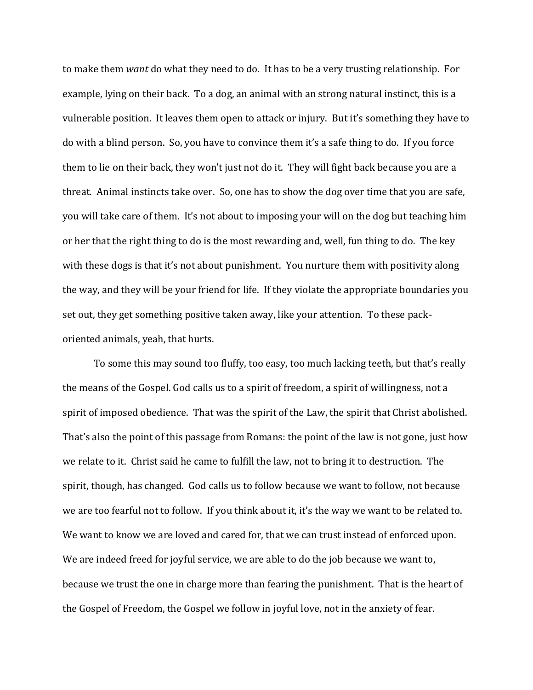to make them *want* do what they need to do. It has to be a very trusting relationship. For example, lying on their back. To a dog, an animal with an strong natural instinct, this is a vulnerable position. It leaves them open to attack or injury. But it's something they have to do with a blind person. So, you have to convince them it's a safe thing to do. If you force them to lie on their back, they won't just not do it. They will fight back because you are a threat. Animal instincts take over. So, one has to show the dog over time that you are safe, you will take care of them. It's not about to imposing your will on the dog but teaching him or her that the right thing to do is the most rewarding and, well, fun thing to do. The key with these dogs is that it's not about punishment. You nurture them with positivity along the way, and they will be your friend for life. If they violate the appropriate boundaries you set out, they get something positive taken away, like your attention. To these packoriented animals, yeah, that hurts.

To some this may sound too fluffy, too easy, too much lacking teeth, but that's really the means of the Gospel. God calls us to a spirit of freedom, a spirit of willingness, not a spirit of imposed obedience. That was the spirit of the Law, the spirit that Christ abolished. That's also the point of this passage from Romans: the point of the law is not gone, just how we relate to it. Christ said he came to fulfill the law, not to bring it to destruction. The spirit, though, has changed. God calls us to follow because we want to follow, not because we are too fearful not to follow. If you think about it, it's the way we want to be related to. We want to know we are loved and cared for, that we can trust instead of enforced upon. We are indeed freed for joyful service, we are able to do the job because we want to, because we trust the one in charge more than fearing the punishment. That is the heart of the Gospel of Freedom, the Gospel we follow in joyful love, not in the anxiety of fear.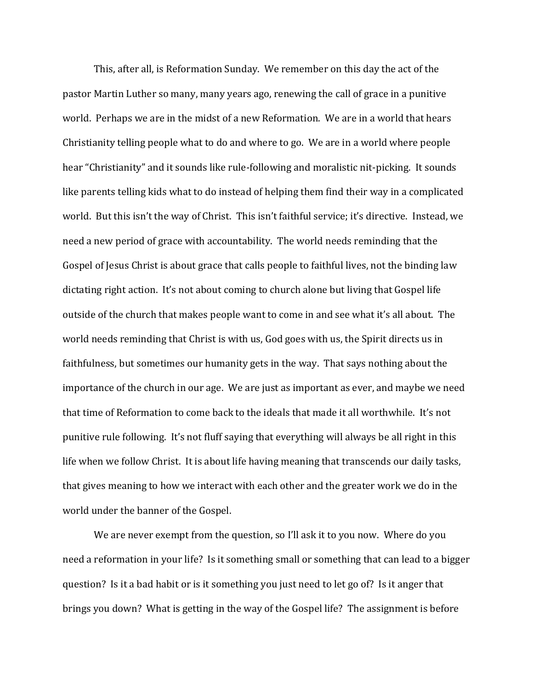This, after all, is Reformation Sunday. We remember on this day the act of the pastor Martin Luther so many, many years ago, renewing the call of grace in a punitive world. Perhaps we are in the midst of a new Reformation. We are in a world that hears Christianity telling people what to do and where to go. We are in a world where people hear "Christianity" and it sounds like rule-following and moralistic nit-picking. It sounds like parents telling kids what to do instead of helping them find their way in a complicated world. But this isn't the way of Christ. This isn't faithful service; it's directive. Instead, we need a new period of grace with accountability. The world needs reminding that the Gospel of Jesus Christ is about grace that calls people to faithful lives, not the binding law dictating right action. It's not about coming to church alone but living that Gospel life outside of the church that makes people want to come in and see what it's all about. The world needs reminding that Christ is with us, God goes with us, the Spirit directs us in faithfulness, but sometimes our humanity gets in the way. That says nothing about the importance of the church in our age. We are just as important as ever, and maybe we need that time of Reformation to come back to the ideals that made it all worthwhile. It's not punitive rule following. It's not fluff saying that everything will always be all right in this life when we follow Christ. It is about life having meaning that transcends our daily tasks, that gives meaning to how we interact with each other and the greater work we do in the world under the banner of the Gospel.

We are never exempt from the question, so I'll ask it to you now. Where do you need a reformation in your life? Is it something small or something that can lead to a bigger question? Is it a bad habit or is it something you just need to let go of? Is it anger that brings you down? What is getting in the way of the Gospel life? The assignment is before